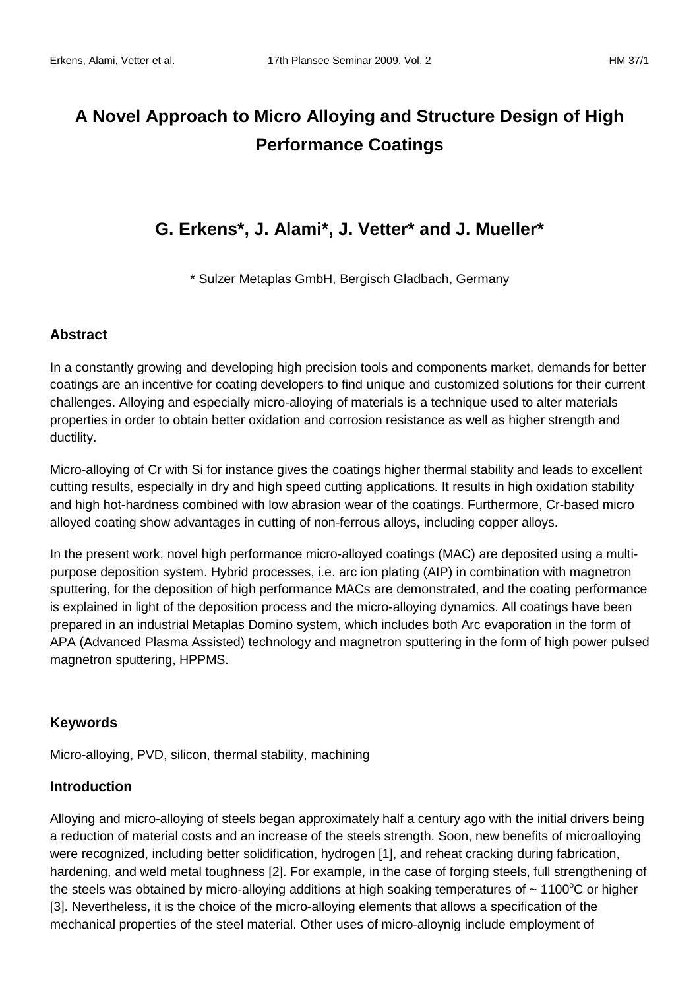# **A Novel Approach to Micro Alloying and Structure Design of High Performance Coatings**

# **G. Erkens\*, J. Alami\*, J. Vetter\* and J. Mueller\***

\* Sulzer Metaplas GmbH, Bergisch Gladbach, Germany

#### **Abstract**

In a constantly growing and developing high precision tools and components market, demands for better coatings are an incentive for coating developers to find unique and customized solutions for their current challenges. Alloying and especially micro-alloying of materials is a technique used to alter materials properties in order to obtain better oxidation and corrosion resistance as well as higher strength and ductility.

Micro-alloying of Cr with Si for instance gives the coatings higher thermal stability and leads to excellent cutting results, especially in dry and high speed cutting applications. It results in high oxidation stability and high hot-hardness combined with low abrasion wear of the coatings. Furthermore, Cr-based micro alloyed coating show advantages in cutting of non-ferrous alloys, including copper alloys.

In the present work, novel high performance micro-alloyed coatings (MAC) are deposited using a multipurpose deposition system. Hybrid processes, i.e. arc ion plating (AIP) in combination with magnetron sputtering, for the deposition of high performance MACs are demonstrated, and the coating performance is explained in light of the deposition process and the micro-alloying dynamics. All coatings have been prepared in an industrial Metaplas Domino system, which includes both Arc evaporation in the form of APA (Advanced Plasma Assisted) technology and magnetron sputtering in the form of high power pulsed magnetron sputtering, HPPMS.

#### **Keywords**

Micro-alloying, PVD, silicon, thermal stability, machining

#### **Introduction**

Alloying and micro-alloying of steels began approximately half a century ago with the initial drivers being a reduction of material costs and an increase of the steels strength. Soon, new benefits of microalloying were recognized, including better solidification, hydrogen [1], and reheat cracking during fabrication, hardening, and weld metal toughness [2]. For example, in the case of forging steels, full strengthening of the steels was obtained by micro-alloying additions at high soaking temperatures of  $\sim 1100^{\circ}$ C or higher [3]. Nevertheless, it is the choice of the micro-alloying elements that allows a specification of the mechanical properties of the steel material. Other uses of micro-alloynig include employment of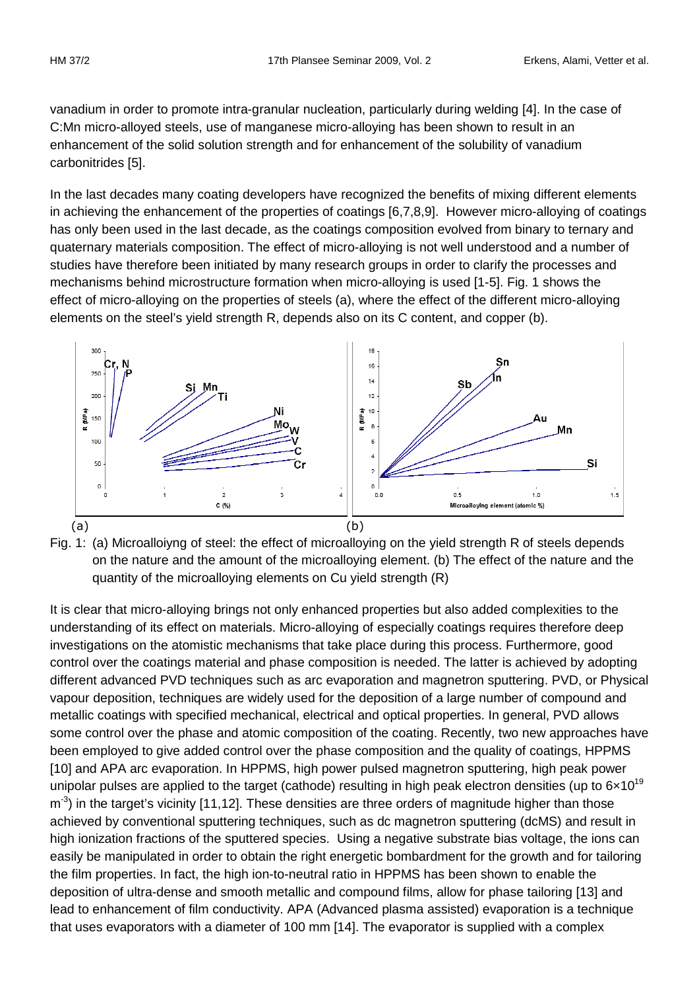vanadium in order to promote intra-granular nucleation, particularly during welding [4]. In the case of C:Mn micro-alloyed steels, use of manganese micro-alloying has been shown to result in an enhancement of the solid solution strength and for enhancement of the solubility of vanadium carbonitrides [5].

In the last decades many coating developers have recognized the benefits of mixing different elements in achieving the enhancement of the properties of coatings [6,7,8,9]. However micro-alloying of coatings has only been used in the last decade, as the coatings composition evolved from binary to ternary and quaternary materials composition. The effect of micro-alloying is not well understood and a number of studies have therefore been initiated by many research groups in order to clarify the processes and mechanisms behind microstructure formation when micro-alloying is used [1-5]. Fig. 1 shows the effect of micro-alloying on the properties of steels (a), where the effect of the different micro-alloying elements on the steel's yield strength R, depends also on its C content, and copper (b).





It is clear that micro-alloying brings not only enhanced properties but also added complexities to the understanding of its effect on materials. Micro-alloying of especially coatings requires therefore deep investigations on the atomistic mechanisms that take place during this process. Furthermore, good control over the coatings material and phase composition is needed. The latter is achieved by adopting different advanced PVD techniques such as arc evaporation and magnetron sputtering. PVD, or Physical vapour deposition, techniques are widely used for the deposition of a large number of compound and metallic coatings with specified mechanical, electrical and optical properties. In general, PVD allows some control over the phase and atomic composition of the coating. Recently, two new approaches have been employed to give added control over the phase composition and the quality of coatings, HPPMS [10] and APA arc evaporation. In HPPMS, high power pulsed magnetron sputtering, high peak power unipolar pulses are applied to the target (cathode) resulting in high peak electron densities (up to  $6 \times 10^{19}$  $\text{m}$ <sup>-3</sup>) in the target's vicinity [11,12]. These densities are three orders of magnitude higher than those achieved by conventional sputtering techniques, such as dc magnetron sputtering (dcMS) and result in high ionization fractions of the sputtered species. Using a negative substrate bias voltage, the ions can easily be manipulated in order to obtain the right energetic bombardment for the growth and for tailoring the film properties. In fact, the high ion-to-neutral ratio in HPPMS has been shown to enable the deposition of ultra-dense and smooth metallic and compound films, allow for phase tailoring [13] and lead to enhancement of film conductivity. APA (Advanced plasma assisted) evaporation is a technique that uses evaporators with a diameter of 100 mm [14]. The evaporator is supplied with a complex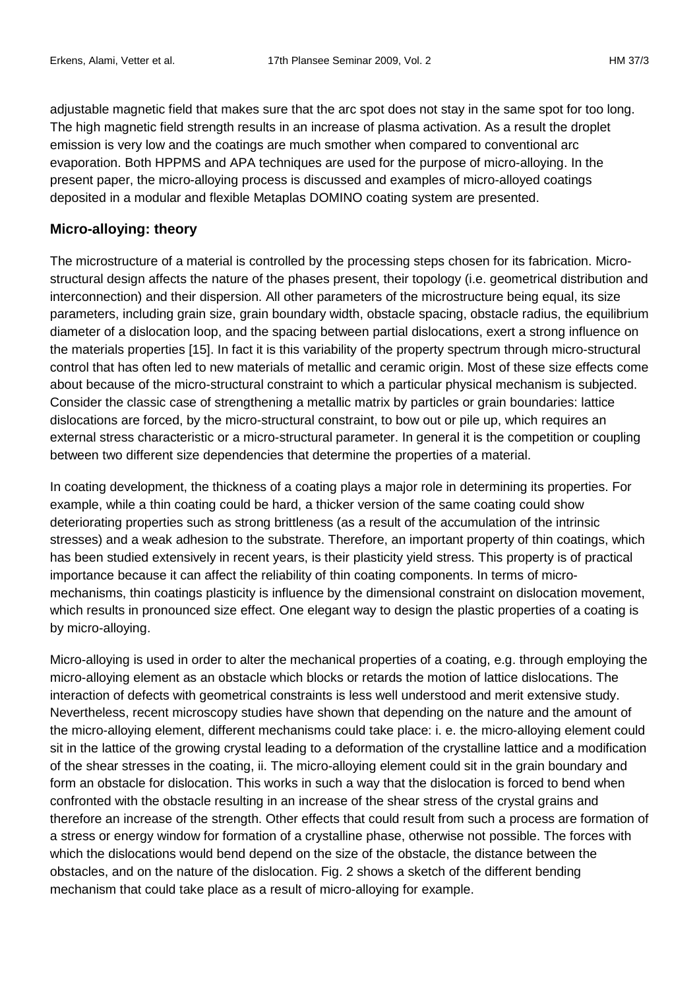adjustable magnetic field that makes sure that the arc spot does not stay in the same spot for too long. The high magnetic field strength results in an increase of plasma activation. As a result the droplet emission is very low and the coatings are much smother when compared to conventional arc evaporation. Both HPPMS and APA techniques are used for the purpose of micro-alloying. In the present paper, the micro-alloying process is discussed and examples of micro-alloyed coatings deposited in a modular and flexible Metaplas DOMINO coating system are presented.

### **Micro-alloying: theory**

The microstructure of a material is controlled by the processing steps chosen for its fabrication. Microstructural design affects the nature of the phases present, their topology (i.e. geometrical distribution and interconnection) and their dispersion. All other parameters of the microstructure being equal, its size parameters, including grain size, grain boundary width, obstacle spacing, obstacle radius, the equilibrium diameter of a dislocation loop, and the spacing between partial dislocations, exert a strong influence on the materials properties [15]. In fact it is this variability of the property spectrum through micro-structural control that has often led to new materials of metallic and ceramic origin. Most of these size effects come about because of the micro-structural constraint to which a particular physical mechanism is subjected. Consider the classic case of strengthening a metallic matrix by particles or grain boundaries: lattice dislocations are forced, by the micro-structural constraint, to bow out or pile up, which requires an external stress characteristic or a micro-structural parameter. In general it is the competition or coupling between two different size dependencies that determine the properties of a material.

In coating development, the thickness of a coating plays a major role in determining its properties. For example, while a thin coating could be hard, a thicker version of the same coating could show deteriorating properties such as strong brittleness (as a result of the accumulation of the intrinsic stresses) and a weak adhesion to the substrate. Therefore, an important property of thin coatings, which has been studied extensively in recent years, is their plasticity yield stress. This property is of practical importance because it can affect the reliability of thin coating components. In terms of micromechanisms, thin coatings plasticity is influence by the dimensional constraint on dislocation movement, which results in pronounced size effect. One elegant way to design the plastic properties of a coating is by micro-alloying.

Micro-alloying is used in order to alter the mechanical properties of a coating, e.g. through employing the micro-alloying element as an obstacle which blocks or retards the motion of lattice dislocations. The interaction of defects with geometrical constraints is less well understood and merit extensive study. Nevertheless, recent microscopy studies have shown that depending on the nature and the amount of the micro-alloying element, different mechanisms could take place: i. e. the micro-alloying element could sit in the lattice of the growing crystal leading to a deformation of the crystalline lattice and a modification of the shear stresses in the coating, ii. The micro-alloying element could sit in the grain boundary and form an obstacle for dislocation. This works in such a way that the dislocation is forced to bend when confronted with the obstacle resulting in an increase of the shear stress of the crystal grains and therefore an increase of the strength. Other effects that could result from such a process are formation of a stress or energy window for formation of a crystalline phase, otherwise not possible. The forces with which the dislocations would bend depend on the size of the obstacle, the distance between the obstacles, and on the nature of the dislocation. Fig. 2 shows a sketch of the different bending mechanism that could take place as a result of micro-alloying for example.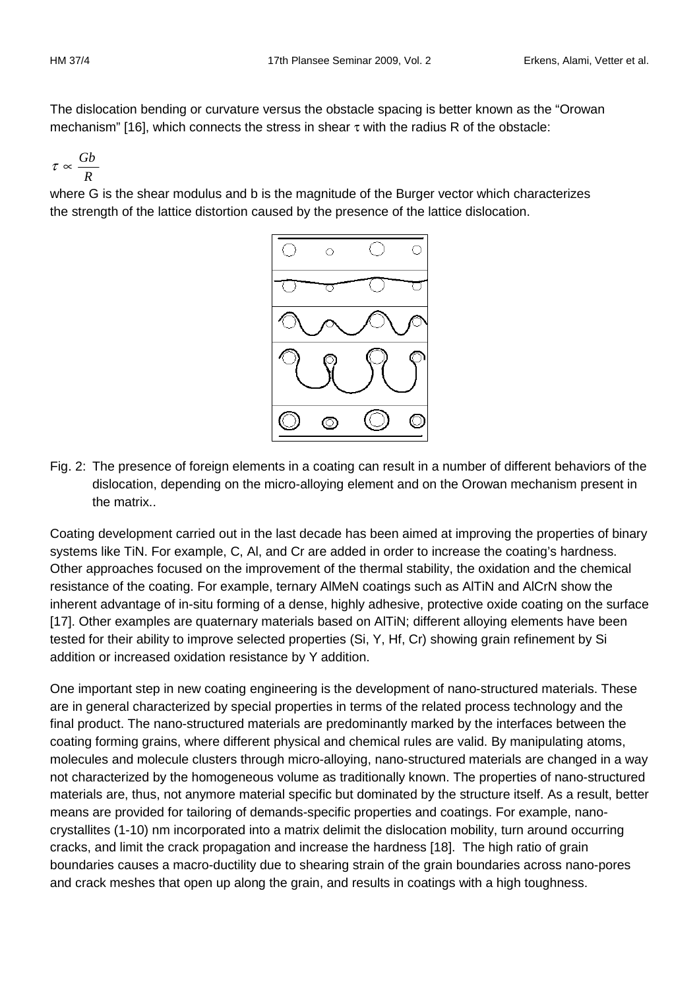The dislocation bending or curvature versus the obstacle spacing is better known as the "Orowan mechanism" [16], which connects the stress in shear  $\tau$  with the radius R of the obstacle:

$$
\tau \propto \frac{Gb}{R}
$$

where G is the shear modulus and b is the magnitude of the Burger vector which characterizes the strength of the lattice distortion caused by the presence of the lattice dislocation.



Fig. 2: The presence of foreign elements in a coating can result in a number of different behaviors of the dislocation, depending on the micro-alloying element and on the Orowan mechanism present in the matrix..

Coating development carried out in the last decade has been aimed at improving the properties of binary systems like TiN. For example, C, Al, and Cr are added in order to increase the coating's hardness. Other approaches focused on the improvement of the thermal stability, the oxidation and the chemical resistance of the coating. For example, ternary AlMeN coatings such as AlTiN and AlCrN show the inherent advantage of in-situ forming of a dense, highly adhesive, protective oxide coating on the surface [17]. Other examples are quaternary materials based on AITIN; different alloying elements have been tested for their ability to improve selected properties (Si, Y, Hf, Cr) showing grain refinement by Si addition or increased oxidation resistance by Y addition.

One important step in new coating engineering is the development of nano-structured materials. These are in general characterized by special properties in terms of the related process technology and the final product. The nano-structured materials are predominantly marked by the interfaces between the coating forming grains, where different physical and chemical rules are valid. By manipulating atoms, molecules and molecule clusters through micro-alloying, nano-structured materials are changed in a way not characterized by the homogeneous volume as traditionally known. The properties of nano-structured materials are, thus, not anymore material specific but dominated by the structure itself. As a result, better means are provided for tailoring of demands-specific properties and coatings. For example, nanocrystallites (1-10) nm incorporated into a matrix delimit the dislocation mobility, turn around occurring cracks, and limit the crack propagation and increase the hardness [18]. The high ratio of grain boundaries causes a macro-ductility due to shearing strain of the grain boundaries across nano-pores and crack meshes that open up along the grain, and results in coatings with a high toughness.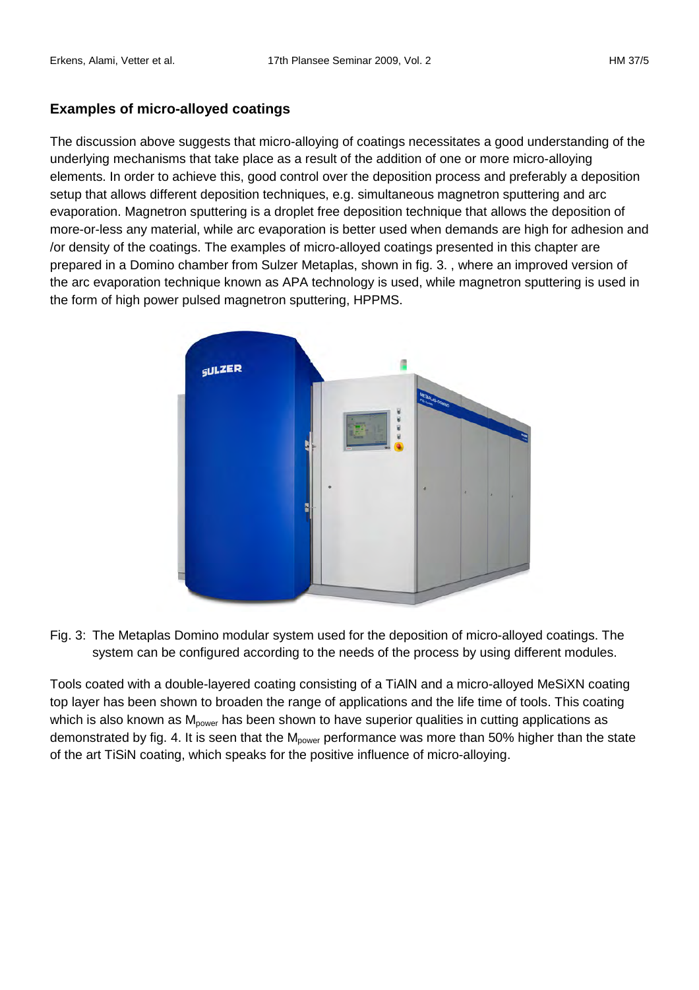## **Examples of micro-alloyed coatings**

The discussion above suggests that micro-alloying of coatings necessitates a good understanding of the underlying mechanisms that take place as a result of the addition of one or more micro-alloying elements. In order to achieve this, good control over the deposition process and preferably a deposition setup that allows different deposition techniques, e.g. simultaneous magnetron sputtering and arc evaporation. Magnetron sputtering is a droplet free deposition technique that allows the deposition of more-or-less any material, while arc evaporation is better used when demands are high for adhesion and /or density of the coatings. The examples of micro-alloyed coatings presented in this chapter are prepared in a Domino chamber from Sulzer Metaplas, shown in fig. 3. , where an improved version of the arc evaporation technique known as APA technology is used, while magnetron sputtering is used in the form of high power pulsed magnetron sputtering, HPPMS.



Fig. 3: The Metaplas Domino modular system used for the deposition of micro-alloyed coatings. The system can be configured according to the needs of the process by using different modules.

Tools coated with a double-layered coating consisting of a TiAlN and a micro-alloyed MeSiXN coating top layer has been shown to broaden the range of applications and the life time of tools. This coating which is also known as  $M_{power}$  has been shown to have superior qualities in cutting applications as demonstrated by fig. 4. It is seen that the  $M_{power}$  performance was more than 50% higher than the state of the art TiSiN coating, which speaks for the positive influence of micro-alloying.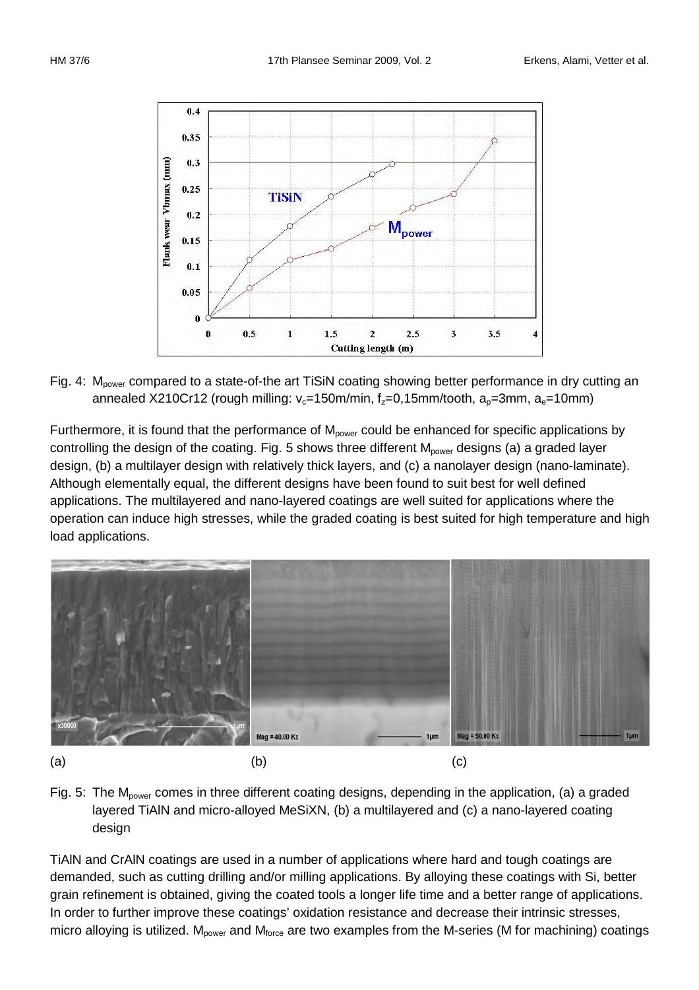



Fig. 4: M<sub>nower</sub> compared to a state-of-the art TiSiN coating showing better performance in dry cutting an annealed X210Cr12 (rough milling:  $v_c=150$ m/min, f<sub>z</sub>=0,15mm/tooth, a<sub>n</sub>=3mm, a<sub>e</sub>=10mm)

Furthermore, it is found that the performance of  $M_{power}$  could be enhanced for specific applications by controlling the design of the coating. Fig. 5 shows three different M<sub>power</sub> designs (a) a graded layer design, (b) a multilayer design with relatively thick layers, and (c) a nanolayer design (nano-laminate). Although elementally equal, the different designs have been found to suit best for well defined applications. The multilayered and nano-layered coatings are well suited for applications where the operation can induce high stresses, while the graded coating is best suited for high temperature and high load applications.





TiAlN and CrAlN coatings are used in a number of applications where hard and tough coatings are demanded, such as cutting drilling and/or milling applications. By alloying these coatings with Si, better grain refinement is obtained, giving the coated tools a longer life time and a better range of applications. In order to further improve these coatings' oxidation resistance and decrease their intrinsic stresses, micro alloying is utilized.  $M_{power}$  and  $M_{force}$  are two examples from the M-series (M for machining) coatings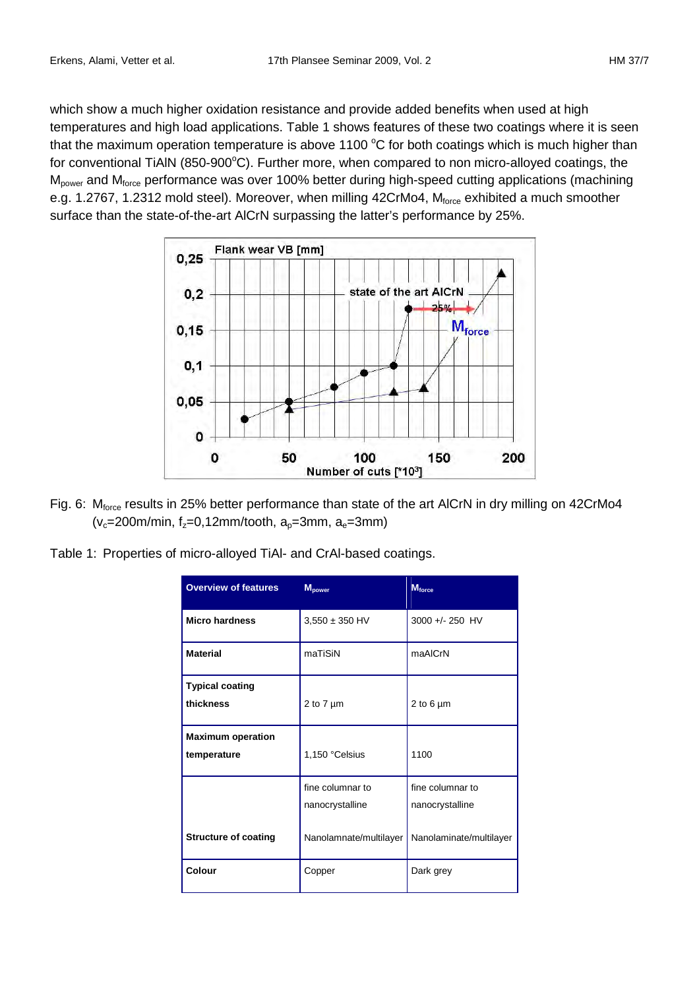which show a much higher oxidation resistance and provide added benefits when used at high temperatures and high load applications. Table 1 shows features of these two coatings where it is seen that the maximum operation temperature is above 1100  $\degree$ C for both coatings which is much higher than for conventional TiAIN (850-900°C). Further more, when compared to non micro-alloyed coatings, the M<sub>power</sub> and M<sub>force</sub> performance was over 100% better during high-speed cutting applications (machining e.g. 1.2767, 1.2312 mold steel). Moreover, when milling 42CrMo4, M<sub>force</sub> exhibited a much smoother surface than the state-of-the-art AlCrN surpassing the latter's performance by 25%.



- Fig. 6: M<sub>force</sub> results in 25% better performance than state of the art AICrN in dry milling on 42CrMo4 ( $v_c$ =200m/min,  $f_z$ =0,12mm/tooth,  $a_e$ =3mm,  $a_e$ =3mm)
- Table 1: Properties of micro-alloyed TiAl- and CrAl-based coatings.

| <b>Overview of features</b>             | <b>M</b> power         | <b>M</b> force          |
|-----------------------------------------|------------------------|-------------------------|
| <b>Micro hardness</b>                   | $3,550 \pm 350$ HV     | 3000 +/- 250 HV         |
| <b>Material</b>                         | maTiSiN                | maAICrN                 |
| <b>Typical coating</b><br>thickness     | 2 to $7 \mu m$         | 2 to 6 $\mu$ m          |
| <b>Maximum operation</b><br>temperature | 1,150 °Celsius         | 1100                    |
|                                         | fine columnar to       | fine columnar to        |
|                                         | nanocrystalline        | nanocrystalline         |
| <b>Structure of coating</b>             | Nanolamnate/multilayer | Nanolaminate/multilayer |
| Colour                                  | Copper                 | Dark grey               |